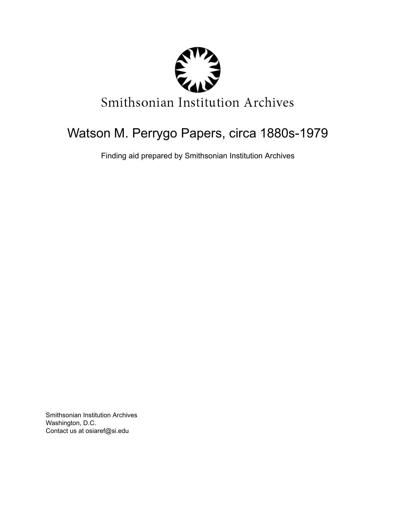

# Watson M. Perrygo Papers, circa 1880s-1979

Finding aid prepared by Smithsonian Institution Archives

Smithsonian Institution Archives Washington, D.C. Contact us at osiaref@si.edu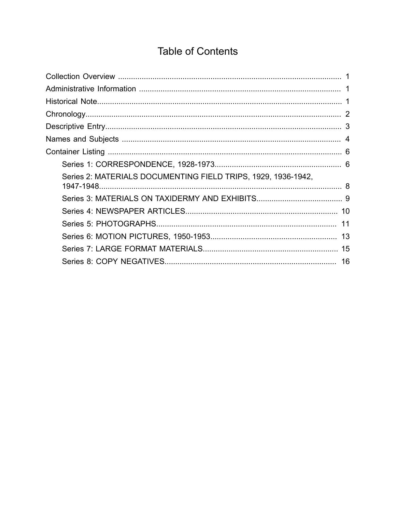## **Table of Contents**

<span id="page-1-0"></span>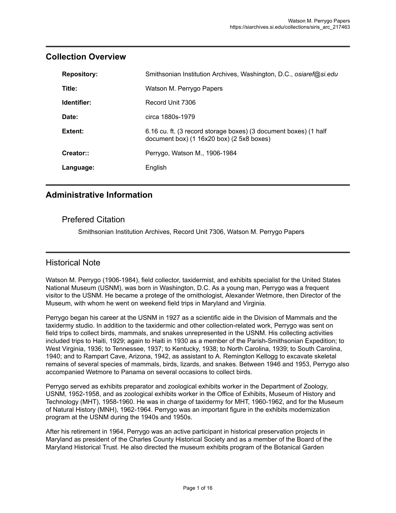| <b>Repository:</b> | Smithsonian Institution Archives, Washington, D.C., osiaref@si.edu                                                |
|--------------------|-------------------------------------------------------------------------------------------------------------------|
| Title:             | Watson M. Perrygo Papers                                                                                          |
| Identifier:        | Record Unit 7306                                                                                                  |
| Date:              | circa 1880s-1979                                                                                                  |
| Extent:            | 6.16 cu. ft. (3 record storage boxes) (3 document boxes) (1 half<br>document box) $(1 16x20$ box) $(2 5x8$ boxes) |
| Creator::          | Perrygo, Watson M., 1906-1984                                                                                     |
| Language:          | English                                                                                                           |

### <span id="page-2-0"></span>**Collection Overview**

### <span id="page-2-1"></span>**Administrative Information**

### Prefered Citation

Smithsonian Institution Archives, Record Unit 7306, Watson M. Perrygo Papers

### <span id="page-2-2"></span>Historical Note

Watson M. Perrygo (1906-1984), field collector, taxidermist, and exhibits specialist for the United States National Museum (USNM), was born in Washington, D.C. As a young man, Perrygo was a frequent visitor to the USNM. He became a protege of the ornithologist, Alexander Wetmore, then Director of the Museum, with whom he went on weekend field trips in Maryland and Virginia.

Perrygo began his career at the USNM in 1927 as a scientific aide in the Division of Mammals and the taxidermy studio. In addition to the taxidermic and other collection-related work, Perrygo was sent on field trips to collect birds, mammals, and snakes unrepresented in the USNM. His collecting activities included trips to Haiti, 1929; again to Haiti in 1930 as a member of the Parish-Smithsonian Expedition; to West Virginia, 1936; to Tennessee, 1937; to Kentucky, 1938; to North Carolina, 1939; to South Carolina, 1940; and to Rampart Cave, Arizona, 1942, as assistant to A. Remington Kellogg to excavate skeletal remains of several species of mammals, birds, lizards, and snakes. Between 1946 and 1953, Perrygo also accompanied Wetmore to Panama on several occasions to collect birds.

Perrygo served as exhibits preparator and zoological exhibits worker in the Department of Zoology, USNM, 1952-1958, and as zoological exhibits worker in the Office of Exhibits, Museum of History and Technology (MHT), 1958-1960. He was in charge of taxidermy for MHT, 1960-1962, and for the Museum of Natural History (MNH), 1962-1964. Perrygo was an important figure in the exhibits modernization program at the USNM during the 1940s and 1950s.

After his retirement in 1964, Perrygo was an active participant in historical preservation projects in Maryland as president of the Charles County Historical Society and as a member of the Board of the Maryland Historical Trust. He also directed the museum exhibits program of the Botanical Garden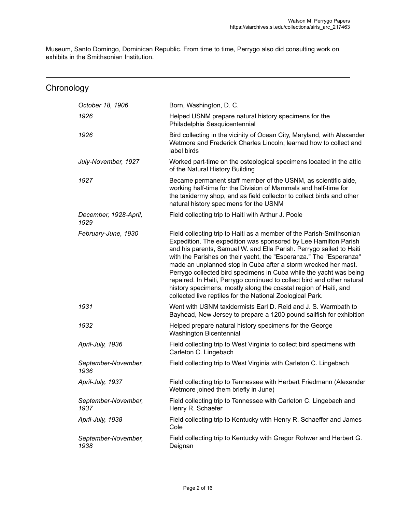Museum, Santo Domingo, Dominican Republic. From time to time, Perrygo also did consulting work on exhibits in the Smithsonian Institution.

<span id="page-3-0"></span>

| Chronology                    |                                                                                                                                                                                                                                                                                                                                                                                                                                                                                                                                                                                                                                          |
|-------------------------------|------------------------------------------------------------------------------------------------------------------------------------------------------------------------------------------------------------------------------------------------------------------------------------------------------------------------------------------------------------------------------------------------------------------------------------------------------------------------------------------------------------------------------------------------------------------------------------------------------------------------------------------|
| October 18, 1906              | Born, Washington, D. C.                                                                                                                                                                                                                                                                                                                                                                                                                                                                                                                                                                                                                  |
| 1926                          | Helped USNM prepare natural history specimens for the<br>Philadelphia Sesquicentennial                                                                                                                                                                                                                                                                                                                                                                                                                                                                                                                                                   |
| 1926                          | Bird collecting in the vicinity of Ocean City, Maryland, with Alexander<br>Wetmore and Frederick Charles Lincoln; learned how to collect and<br>label birds                                                                                                                                                                                                                                                                                                                                                                                                                                                                              |
| July-November, 1927           | Worked part-time on the osteological specimens located in the attic<br>of the Natural History Building                                                                                                                                                                                                                                                                                                                                                                                                                                                                                                                                   |
| 1927                          | Became permanent staff member of the USNM, as scientific aide,<br>working half-time for the Division of Mammals and half-time for<br>the taxidermy shop, and as field collector to collect birds and other<br>natural history specimens for the USNM                                                                                                                                                                                                                                                                                                                                                                                     |
| December, 1928-April,<br>1929 | Field collecting trip to Haiti with Arthur J. Poole                                                                                                                                                                                                                                                                                                                                                                                                                                                                                                                                                                                      |
| February-June, 1930           | Field collecting trip to Haiti as a member of the Parish-Smithsonian<br>Expedition. The expedition was sponsored by Lee Hamilton Parish<br>and his parents, Samuel W. and Ella Parish. Perrygo sailed to Haiti<br>with the Parishes on their yacht, the "Esperanza." The "Esperanza"<br>made an unplanned stop in Cuba after a storm wrecked her mast.<br>Perrygo collected bird specimens in Cuba while the yacht was being<br>repaired. In Haiti, Perrygo continued to collect bird and other natural<br>history specimens, mostly along the coastal region of Haiti, and<br>collected live reptiles for the National Zoological Park. |
| 1931                          | Went with USNM taxidermists Earl D. Reid and J. S. Warmbath to<br>Bayhead, New Jersey to prepare a 1200 pound sailfish for exhibition                                                                                                                                                                                                                                                                                                                                                                                                                                                                                                    |
| 1932                          | Helped prepare natural history specimens for the George<br>Washington Bicentennial                                                                                                                                                                                                                                                                                                                                                                                                                                                                                                                                                       |
| April-July, 1936              | Field collecting trip to West Virginia to collect bird specimens with<br>Carleton C. Lingebach                                                                                                                                                                                                                                                                                                                                                                                                                                                                                                                                           |
| September-November,<br>1936   | Field collecting trip to West Virginia with Carleton C. Lingebach                                                                                                                                                                                                                                                                                                                                                                                                                                                                                                                                                                        |
| April-July, 1937              | Field collecting trip to Tennessee with Herbert Friedmann (Alexander<br>Wetmore joined them briefly in June)                                                                                                                                                                                                                                                                                                                                                                                                                                                                                                                             |
| September-November,<br>1937   | Field collecting trip to Tennessee with Carleton C. Lingebach and<br>Henry R. Schaefer                                                                                                                                                                                                                                                                                                                                                                                                                                                                                                                                                   |
| April-July, 1938              | Field collecting trip to Kentucky with Henry R. Schaeffer and James<br>Cole                                                                                                                                                                                                                                                                                                                                                                                                                                                                                                                                                              |
| September-November,<br>1938   | Field collecting trip to Kentucky with Gregor Rohwer and Herbert G.<br>Deignan                                                                                                                                                                                                                                                                                                                                                                                                                                                                                                                                                           |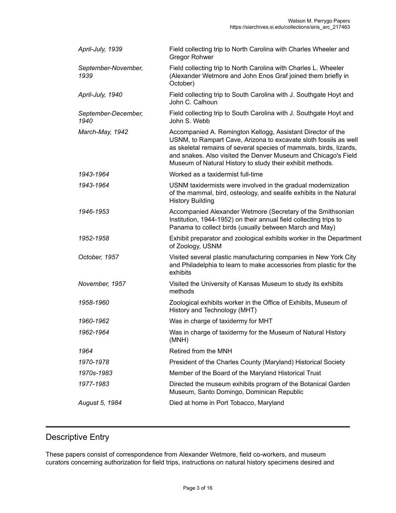| April-July, 1939            | Field collecting trip to North Carolina with Charles Wheeler and<br><b>Gregor Rohwer</b>                                                                                                                                                                                                                                             |
|-----------------------------|--------------------------------------------------------------------------------------------------------------------------------------------------------------------------------------------------------------------------------------------------------------------------------------------------------------------------------------|
| September-November,<br>1939 | Field collecting trip to North Carolina with Charles L. Wheeler<br>(Alexander Wetmore and John Enos Graf joined them briefly in<br>October)                                                                                                                                                                                          |
| April-July, 1940            | Field collecting trip to South Carolina with J. Southgate Hoyt and<br>John C. Calhoun                                                                                                                                                                                                                                                |
| September-December,<br>1940 | Field collecting trip to South Carolina with J. Southgate Hoyt and<br>John S. Webb                                                                                                                                                                                                                                                   |
| March-May, 1942             | Accompanied A. Remington Kellogg, Assistant Director of the<br>USNM, to Rampart Cave, Arizona to excavate sloth fossils as well<br>as skeletal remains of several species of mammals, birds, lizards,<br>and snakes. Also visited the Denver Museum and Chicago's Field<br>Museum of Natural History to study their exhibit methods. |
| 1943-1964                   | Worked as a taxidermist full-time                                                                                                                                                                                                                                                                                                    |
| 1943-1964                   | USNM taxidermists were involved in the gradual modernization<br>of the mammal, bird, osteology, and sealife exhibits in the Natural<br><b>History Building</b>                                                                                                                                                                       |
| 1946-1953                   | Accompanied Alexander Wetmore (Secretary of the Smithsonian<br>Institution, 1944-1952) on their annual field collecting trips to<br>Panama to collect birds (usually between March and May)                                                                                                                                          |
| 1952-1958                   | Exhibit preparator and zoological exhibits worker in the Department<br>of Zoology, USNM                                                                                                                                                                                                                                              |
| October, 1957               | Visited several plastic manufacturing companies in New York City<br>and Philadelphia to learn to make accessories from plastic for the<br>exhibits                                                                                                                                                                                   |
| November, 1957              | Visited the University of Kansas Museum to study its exhibits<br>methods                                                                                                                                                                                                                                                             |
| 1958-1960                   | Zoological exhibits worker in the Office of Exhibits, Museum of<br>History and Technology (MHT)                                                                                                                                                                                                                                      |
| 1960-1962                   | Was in charge of taxidermy for MHT                                                                                                                                                                                                                                                                                                   |
| 1962-1964                   | Was in charge of taxidermy for the Museum of Natural History<br>(MNH)                                                                                                                                                                                                                                                                |
| 1964                        | Retired from the MNH                                                                                                                                                                                                                                                                                                                 |
| 1970-1978                   | President of the Charles County (Maryland) Historical Society                                                                                                                                                                                                                                                                        |
| 1970s-1983                  | Member of the Board of the Maryland Historical Trust                                                                                                                                                                                                                                                                                 |
| 1977-1983                   | Directed the museum exhibits program of the Botanical Garden<br>Museum, Santo Domingo, Dominican Republic                                                                                                                                                                                                                            |
| August 5, 1984              | Died at home in Port Tobacco, Maryland                                                                                                                                                                                                                                                                                               |
|                             |                                                                                                                                                                                                                                                                                                                                      |

### <span id="page-4-0"></span>Descriptive Entry

These papers consist of correspondence from Alexander Wetmore, field co-workers, and museum curators concerning authorization for field trips, instructions on natural history specimens desired and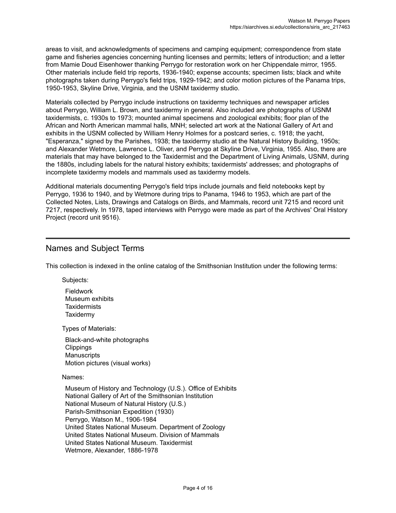areas to visit, and acknowledgments of specimens and camping equipment; correspondence from state game and fisheries agencies concerning hunting licenses and permits; letters of introduction; and a letter from Mamie Doud Eisenhower thanking Perrygo for restoration work on her Chippendale mirror, 1955. Other materials include field trip reports, 1936-1940; expense accounts; specimen lists; black and white photographs taken during Perrygo's field trips, 1929-1942; and color motion pictures of the Panama trips, 1950-1953, Skyline Drive, Virginia, and the USNM taxidermy studio.

Materials collected by Perrygo include instructions on taxidermy techniques and newspaper articles about Perrygo, William L. Brown, and taxidermy in general. Also included are photographs of USNM taxidermists, c. 1930s to 1973; mounted animal specimens and zoological exhibits; floor plan of the African and North American mammal halls, MNH; selected art work at the National Gallery of Art and exhibits in the USNM collected by William Henry Holmes for a postcard series, c. 1918; the yacht, "Esperanza," signed by the Parishes, 1938; the taxidermy studio at the Natural History Building, 1950s; and Alexander Wetmore, Lawrence L. Oliver, and Perrygo at Skyline Drive, Virginia, 1955. Also, there are materials that may have belonged to the Taxidermist and the Department of Living Animals, USNM, during the 1880s, including labels for the natural history exhibits; taxidermists' addresses; and photographs of incomplete taxidermy models and mammals used as taxidermy models.

Additional materials documenting Perrygo's field trips include journals and field notebooks kept by Perrygo, 1936 to 1940, and by Wetmore during trips to Panama, 1946 to 1953, which are part of the Collected Notes, Lists, Drawings and Catalogs on Birds, and Mammals, record unit 7215 and record unit 7217, respectively. In 1978, taped interviews with Perrygo were made as part of the Archives' Oral History Project (record unit 9516).

### <span id="page-5-0"></span>Names and Subject Terms

This collection is indexed in the online catalog of the Smithsonian Institution under the following terms:

Subjects:

Fieldwork Museum exhibits **Taxidermists Taxidermy** 

Types of Materials:

Black-and-white photographs **Clippings Manuscripts** Motion pictures (visual works)

Names:

Museum of History and Technology (U.S.). Office of Exhibits National Gallery of Art of the Smithsonian Institution National Museum of Natural History (U.S.) Parish-Smithsonian Expedition (1930) Perrygo, Watson M., 1906-1984 United States National Museum. Department of Zoology United States National Museum. Division of Mammals United States National Museum. Taxidermist Wetmore, Alexander, 1886-1978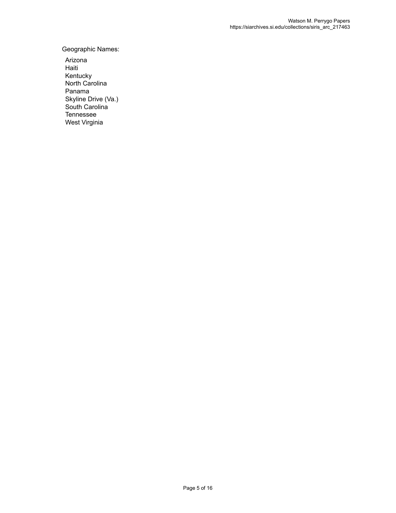Geographic Names:

Arizona Haiti Kentucky North Carolina Panama Skyline Drive (Va.) South Carolina Tennessee West Virginia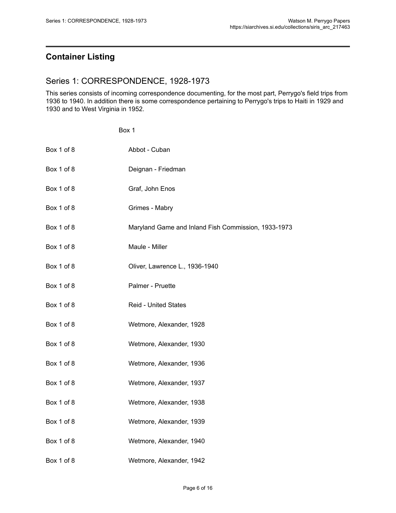### <span id="page-7-0"></span>**Container Listing**

### <span id="page-7-1"></span>Series 1: CORRESPONDENCE, 1928-1973

This series consists of incoming correspondence documenting, for the most part, Perrygo's field trips from 1936 to 1940. In addition there is some correspondence pertaining to Perrygo's trips to Haiti in 1929 and 1930 and to West Virginia in 1952.

#### Box 1

| Box 1 of 8 | Abbot - Cuban                                       |
|------------|-----------------------------------------------------|
| Box 1 of 8 | Deignan - Friedman                                  |
| Box 1 of 8 | Graf, John Enos                                     |
| Box 1 of 8 | Grimes - Mabry                                      |
| Box 1 of 8 | Maryland Game and Inland Fish Commission, 1933-1973 |
| Box 1 of 8 | Maule - Miller                                      |
| Box 1 of 8 | Oliver, Lawrence L., 1936-1940                      |
| Box 1 of 8 | Palmer - Pruette                                    |
| Box 1 of 8 | <b>Reid - United States</b>                         |
| Box 1 of 8 | Wetmore, Alexander, 1928                            |
| Box 1 of 8 | Wetmore, Alexander, 1930                            |
| Box 1 of 8 | Wetmore, Alexander, 1936                            |
| Box 1 of 8 | Wetmore, Alexander, 1937                            |
| Box 1 of 8 | Wetmore, Alexander, 1938                            |
| Box 1 of 8 | Wetmore, Alexander, 1939                            |
| Box 1 of 8 | Wetmore, Alexander, 1940                            |
| Box 1 of 8 | Wetmore, Alexander, 1942                            |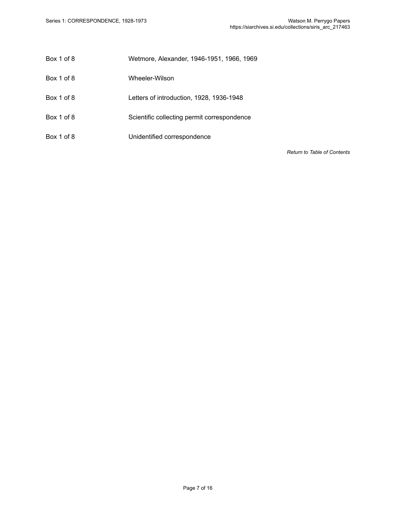- Box 1 of 8 Wetmore, Alexander, 1946-1951, 1966, 1969
- Box 1 of 8 Wheeler-Wilson
- Box 1 of 8 Letters of introduction, 1928, 1936-1948
- Box 1 of 8 Scientific collecting permit correspondence
- Box 1 of 8 Unidentified correspondence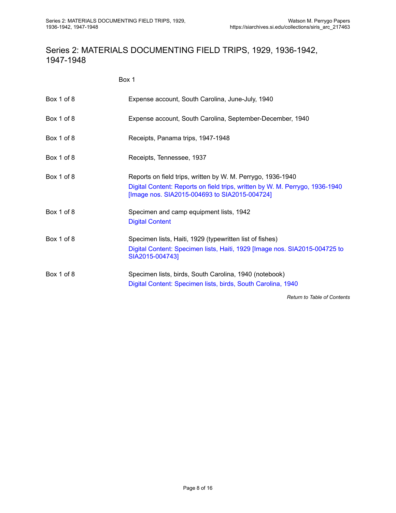### <span id="page-9-0"></span>Series 2: MATERIALS DOCUMENTING FIELD TRIPS, 1929, 1936-1942, 1947-1948

Box 1

| Box 1 of 8 | Expense account, South Carolina, June-July, 1940                                                                                                                                             |
|------------|----------------------------------------------------------------------------------------------------------------------------------------------------------------------------------------------|
| Box 1 of 8 | Expense account, South Carolina, September-December, 1940                                                                                                                                    |
| Box 1 of 8 | Receipts, Panama trips, 1947-1948                                                                                                                                                            |
| Box 1 of 8 | Receipts, Tennessee, 1937                                                                                                                                                                    |
| Box 1 of 8 | Reports on field trips, written by W. M. Perrygo, 1936-1940<br>Digital Content: Reports on field trips, written by W. M. Perrygo, 1936-1940<br>[Image nos. SIA2015-004693 to SIA2015-004724] |
| Box 1 of 8 | Specimen and camp equipment lists, 1942<br><b>Digital Content</b>                                                                                                                            |
| Box 1 of 8 | Specimen lists, Haiti, 1929 (typewritten list of fishes)<br>Digital Content: Specimen lists, Haiti, 1929 [Image nos. SIA2015-004725 to<br>SIA2015-004743]                                    |
| Box 1 of 8 | Specimen lists, birds, South Carolina, 1940 (notebook)<br>Digital Content: Specimen lists, birds, South Carolina, 1940                                                                       |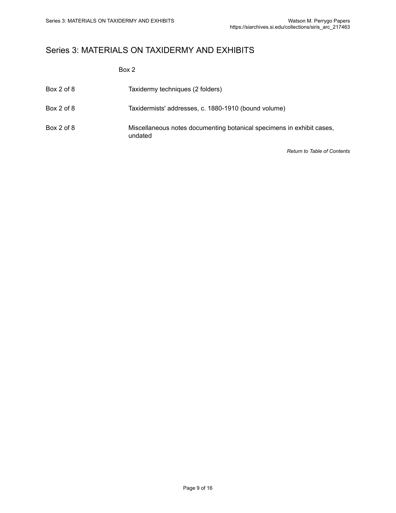### <span id="page-10-0"></span>Series 3: MATERIALS ON TAXIDERMY AND EXHIBITS

Box 2

| Box 2 of 8 | Taxidermy techniques (2 folders)                                                 |
|------------|----------------------------------------------------------------------------------|
| Box 2 of 8 | Taxidermists' addresses, c. 1880-1910 (bound volume)                             |
| Box 2 of 8 | Miscellaneous notes documenting botanical specimens in exhibit cases,<br>undated |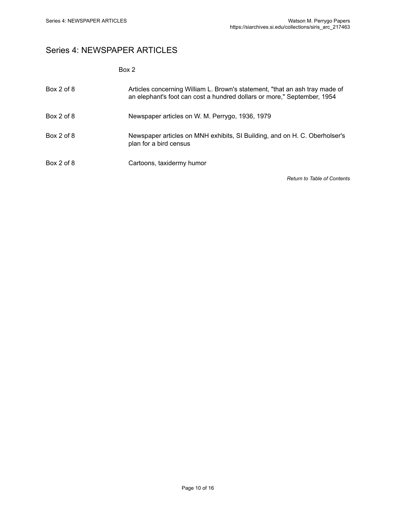### <span id="page-11-0"></span>Series 4: NEWSPAPER ARTICLES

| ×<br>۰. |  |
|---------|--|
|---------|--|

| Box 2 of 8 | Articles concerning William L. Brown's statement, "that an ash tray made of<br>an elephant's foot can cost a hundred dollars or more," September, 1954 |
|------------|--------------------------------------------------------------------------------------------------------------------------------------------------------|
| Box 2 of 8 | Newspaper articles on W. M. Perrygo, 1936, 1979                                                                                                        |
| Box 2 of 8 | Newspaper articles on MNH exhibits, SI Building, and on H. C. Oberholser's<br>plan for a bird census                                                   |
| Box 2 of 8 | Cartoons, taxidermy humor                                                                                                                              |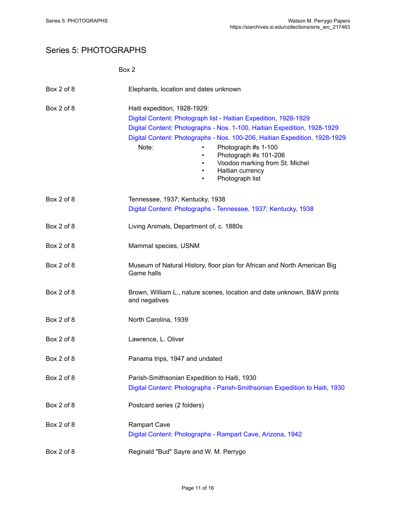### <span id="page-12-0"></span>Series 5: PHOTOGRAPHS

|            | Box 2                                                                                                                                                                                                                                                                                                                                                                                                     |
|------------|-----------------------------------------------------------------------------------------------------------------------------------------------------------------------------------------------------------------------------------------------------------------------------------------------------------------------------------------------------------------------------------------------------------|
| Box 2 of 8 | Elephants, location and dates unknown                                                                                                                                                                                                                                                                                                                                                                     |
| Box 2 of 8 | Haiti expedition, 1928-1929:<br>Digital Content: Photograph list - Haitian Expedition, 1928-1929<br>Digital Content: Photographs - Nos. 1-100, Haitian Expedition, 1928-1929<br>Digital Content: Photographs - Nos. 100-206, Haitian Expedition, 1928-1929<br>Note:<br>Photograph #s 1-100<br>Photograph #s 101-206<br>$\bullet$<br>Voodoo marking from St. Michel<br>Haitian currency<br>Photograph list |
| Box 2 of 8 | Tennessee, 1937; Kentucky, 1938<br>Digital Content: Photographs - Tennessee, 1937; Kentucky, 1938                                                                                                                                                                                                                                                                                                         |
| Box 2 of 8 | Living Animals, Department of, c. 1880s                                                                                                                                                                                                                                                                                                                                                                   |
| Box 2 of 8 | Mammal species, USNM                                                                                                                                                                                                                                                                                                                                                                                      |
| Box 2 of 8 | Museum of Natural History, floor plan for African and North American Big<br>Game halls                                                                                                                                                                                                                                                                                                                    |
| Box 2 of 8 | Brown, William L., nature scenes, location and date unknown, B&W prints<br>and negatives                                                                                                                                                                                                                                                                                                                  |
| Box 2 of 8 | North Carolina, 1939                                                                                                                                                                                                                                                                                                                                                                                      |
| Box 2 of 8 | Lawrence, L. Oliver                                                                                                                                                                                                                                                                                                                                                                                       |
| Box 2 of 8 | Panama trips, 1947 and undated                                                                                                                                                                                                                                                                                                                                                                            |
| Box 2 of 8 | Parish-Smithsonian Expedition to Haiti, 1930<br>Digital Content: Photographs - Parish-Smithsonian Expedition to Haiti, 1930                                                                                                                                                                                                                                                                               |
| Box 2 of 8 | Postcard series (2 folders)                                                                                                                                                                                                                                                                                                                                                                               |
| Box 2 of 8 | <b>Rampart Cave</b><br>Digital Content: Photographs - Rampart Cave, Arizona, 1942                                                                                                                                                                                                                                                                                                                         |
| Box 2 of 8 | Reginald "Bud" Sayre and W. M. Perrygo                                                                                                                                                                                                                                                                                                                                                                    |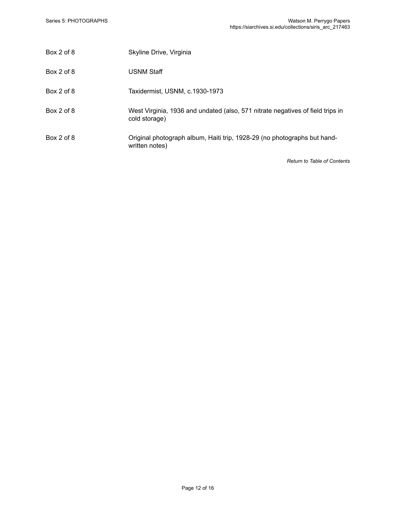| Box 2 of 8 | Skyline Drive, Virginia                                                                         |
|------------|-------------------------------------------------------------------------------------------------|
| Box 2 of 8 | <b>USNM Staff</b>                                                                               |
| Box 2 of 8 | Taxidermist, USNM, c.1930-1973                                                                  |
| Box 2 of 8 | West Virginia, 1936 and undated (also, 571 nitrate negatives of field trips in<br>cold storage) |
| Box 2 of 8 | Original photograph album, Haiti trip, 1928-29 (no photographs but hand-<br>written notes)      |
|            |                                                                                                 |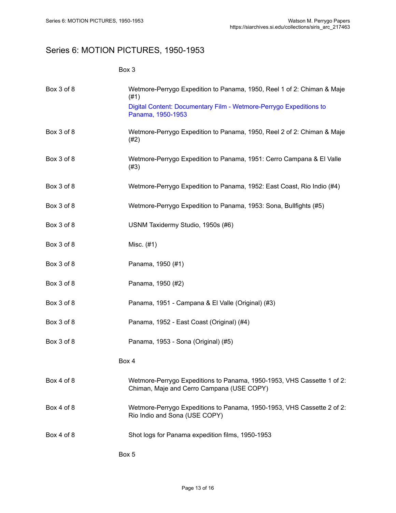### <span id="page-14-0"></span>Series 6: MOTION PICTURES, 1950-1953

| ٠<br>×<br>۰.<br>× |
|-------------------|
|-------------------|

| Box 3 of 8 | Wetmore-Perrygo Expedition to Panama, 1950, Reel 1 of 2: Chiman & Maje<br>(#1)                                      |
|------------|---------------------------------------------------------------------------------------------------------------------|
|            | Digital Content: Documentary Film - Wetmore-Perrygo Expeditions to<br>Panama, 1950-1953                             |
| Box 3 of 8 | Wetmore-Perrygo Expedition to Panama, 1950, Reel 2 of 2: Chiman & Maje<br>(#2)                                      |
| Box 3 of 8 | Wetmore-Perrygo Expedition to Panama, 1951: Cerro Campana & El Valle<br>(#3)                                        |
| Box 3 of 8 | Wetmore-Perrygo Expedition to Panama, 1952: East Coast, Rio Indio (#4)                                              |
| Box 3 of 8 | Wetmore-Perrygo Expedition to Panama, 1953: Sona, Bullfights (#5)                                                   |
| Box 3 of 8 | USNM Taxidermy Studio, 1950s (#6)                                                                                   |
| Box 3 of 8 | Misc. (#1)                                                                                                          |
| Box 3 of 8 | Panama, 1950 (#1)                                                                                                   |
| Box 3 of 8 | Panama, 1950 (#2)                                                                                                   |
| Box 3 of 8 | Panama, 1951 - Campana & El Valle (Original) (#3)                                                                   |
| Box 3 of 8 | Panama, 1952 - East Coast (Original) (#4)                                                                           |
| Box 3 of 8 | Panama, 1953 - Sona (Original) (#5)                                                                                 |
|            | Box 4                                                                                                               |
| Box 4 of 8 | Wetmore-Perrygo Expeditions to Panama, 1950-1953, VHS Cassette 1 of 2:<br>Chiman, Maje and Cerro Campana (USE COPY) |
| Box 4 of 8 | Wetmore-Perrygo Expeditions to Panama, 1950-1953, VHS Cassette 2 of 2:<br>Rio Indio and Sona (USE COPY)             |
| Box 4 of 8 | Shot logs for Panama expedition films, 1950-1953                                                                    |
|            | Box 5                                                                                                               |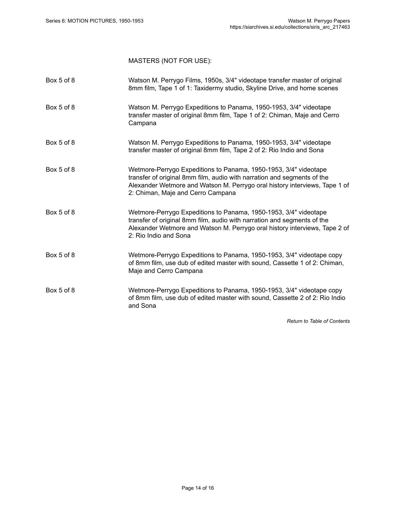### MASTERS (NOT FOR USE):

| Box 5 of 8 | Watson M. Perrygo Films, 1950s, 3/4" videotape transfer master of original<br>8mm film, Tape 1 of 1: Taxidermy studio, Skyline Drive, and home scenes                                                                                                          |
|------------|----------------------------------------------------------------------------------------------------------------------------------------------------------------------------------------------------------------------------------------------------------------|
| Box 5 of 8 | Watson M. Perrygo Expeditions to Panama, 1950-1953, 3/4" videotape<br>transfer master of original 8mm film, Tape 1 of 2: Chiman, Maje and Cerro<br>Campana                                                                                                     |
| Box 5 of 8 | Watson M. Perrygo Expeditions to Panama, 1950-1953, 3/4" videotape<br>transfer master of original 8mm film, Tape 2 of 2: Rio Indio and Sona                                                                                                                    |
| Box 5 of 8 | Wetmore-Perrygo Expeditions to Panama, 1950-1953, 3/4" videotape<br>transfer of original 8mm film, audio with narration and segments of the<br>Alexander Wetmore and Watson M. Perrygo oral history interviews, Tape 1 of<br>2: Chiman, Maje and Cerro Campana |
| Box 5 of 8 | Wetmore-Perrygo Expeditions to Panama, 1950-1953, 3/4" videotape<br>transfer of original 8mm film, audio with narration and segments of the<br>Alexander Wetmore and Watson M. Perrygo oral history interviews, Tape 2 of<br>2: Rio Indio and Sona             |
| Box 5 of 8 | Wetmore-Perrygo Expeditions to Panama, 1950-1953, 3/4" videotape copy<br>of 8mm film, use dub of edited master with sound, Cassette 1 of 2: Chiman,<br>Maje and Cerro Campana                                                                                  |
| Box 5 of 8 | Wetmore-Perrygo Expeditions to Panama, 1950-1953, 3/4" videotape copy<br>of 8mm film, use dub of edited master with sound, Cassette 2 of 2: Rio Indio<br>and Sona                                                                                              |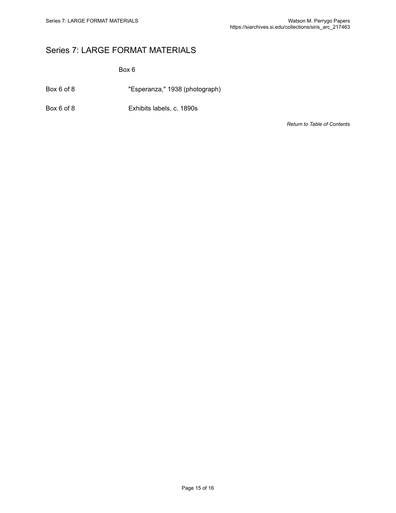### <span id="page-16-0"></span>Series 7: LARGE FORMAT MATERIALS

Box 6

Box 6 of 8 "Esperanza," 1938 (photograph)

Box 6 of 8 Exhibits labels, c. 1890s